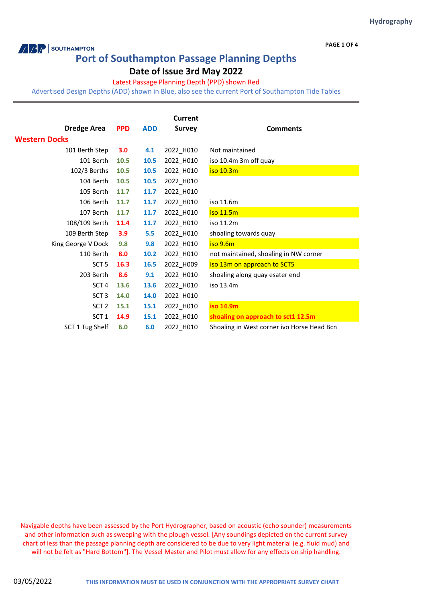#### **PAGE 1 OF 4**

## **Port of Southampton Passage Planning Depths**

**ARP** SOUTHAMPTON

### **Date of Issue 3rd May 2022**

#### Latest Passage Planning Depth (PPD) shown Red

Advertised Design Depths (ADD) shown in Blue, also see the current Port of Southampton Tide Tables

|                      |            |            | <b>Current</b> |                                            |
|----------------------|------------|------------|----------------|--------------------------------------------|
| <b>Dredge Area</b>   | <b>PPD</b> | <b>ADD</b> | <b>Survey</b>  | <b>Comments</b>                            |
| <b>Western Docks</b> |            |            |                |                                            |
| 101 Berth Step       | 3.0        | 4.1        | 2022_H010      | Not maintained                             |
| 101 Berth            | 10.5       | 10.5       | 2022_H010      | iso 10.4m 3m off quay                      |
| 102/3 Berths         | 10.5       | 10.5       | 2022_H010      | iso 10.3m                                  |
| 104 Berth            | 10.5       | 10.5       | 2022_H010      |                                            |
| 105 Berth            | 11.7       | 11.7       | 2022_H010      |                                            |
| 106 Berth            | 11.7       | 11.7       | 2022_H010      | iso 11.6m                                  |
| 107 Berth            | 11.7       | 11.7       | 2022_H010      | iso 11.5m                                  |
| 108/109 Berth        | 11.4       | 11.7       | 2022_H010      | iso 11.2m                                  |
| 109 Berth Step       | 3.9        | 5.5        | 2022_H010      | shoaling towards quay                      |
| King George V Dock   | 9.8        | 9.8        | 2022_H010      | iso 9.6m                                   |
| 110 Berth            | 8.0        | 10.2       | 2022_H010      | not maintained, shoaling in NW corner      |
| SCT <sub>5</sub>     | 16.3       | 16.5       | 2022_H009      | iso 13m on approach to SCT5                |
| 203 Berth            | 8.6        | 9.1        | 2022_H010      | shoaling along quay esater end             |
| SCT <sub>4</sub>     | 13.6       | 13.6       | 2022_H010      | iso 13.4m                                  |
| SCT <sub>3</sub>     | 14.0       | 14.0       | 2022_H010      |                                            |
| SCT <sub>2</sub>     | 15.1       | 15.1       | 2022_H010      | iso 14.9m                                  |
| SCT <sub>1</sub>     | 14.9       | 15.1       | 2022_H010      | shoaling on approach to sct1 12.5m         |
| SCT 1 Tug Shelf      | 6.0        | 6.0        | 2022 H010      | Shoaling in West corner ivo Horse Head Bcn |

Navigable depths have been assessed by the Port Hydrographer, based on acoustic (echo sounder) measurements and other information such as sweeping with the plough vessel. [Any soundings depicted on the current survey chart of less than the passage planning depth are considered to be due to very light material (e.g. fluid mud) and will not be felt as "Hard Bottom"]. The Vessel Master and Pilot must allow for any effects on ship handling.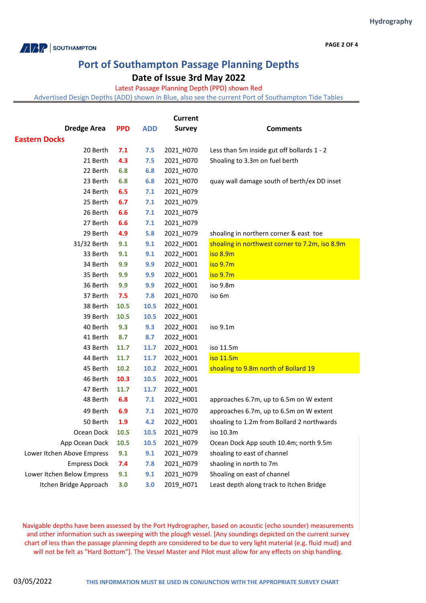

**PAGE 2 OF 4**

# **Port of Southampton Passage Planning Depths**

**Date of Issue 3rd May 2022**

Latest Passage Planning Depth (PPD) shown Red

Advertised Design Depths (ADD) shown in Blue, also see the current Port of Southampton Tide Tables

| Current                    |            |            |               |                                                |  |  |  |
|----------------------------|------------|------------|---------------|------------------------------------------------|--|--|--|
| <b>Dredge Area</b>         | <b>PPD</b> | <b>ADD</b> | <b>Survey</b> | <b>Comments</b>                                |  |  |  |
| <b>Eastern Docks</b>       |            |            |               |                                                |  |  |  |
| 20 Berth                   | 7.1        | 7.5        | 2021_H070     | Less than 5m inside gut off bollards 1 - 2     |  |  |  |
| 21 Berth                   | 4.3        | 7.5        | 2021_H070     | Shoaling to 3.3m on fuel berth                 |  |  |  |
| 22 Berth                   | 6.8        | 6.8        | 2021 H070     |                                                |  |  |  |
| 23 Berth                   | 6.8        | 6.8        | 2021_H070     | quay wall damage south of berth/ex DD inset    |  |  |  |
| 24 Berth                   | 6.5        | 7.1        | 2021_H079     |                                                |  |  |  |
| 25 Berth                   | 6.7        | 7.1        | 2021_H079     |                                                |  |  |  |
| 26 Berth                   | 6.6        | 7.1        | 2021_H079     |                                                |  |  |  |
| 27 Berth                   | 6.6        | 7.1        | 2021_H079     |                                                |  |  |  |
| 29 Berth                   | 4.9        | 5.8        | 2021_H079     | shoaling in northern corner & east toe         |  |  |  |
| 31/32 Berth                | 9.1        | 9.1        | 2022_H001     | shoaling in northwest corner to 7.2m, iso 8.9m |  |  |  |
| 33 Berth                   | 9.1        | 9.1        | 2022_H001     | iso 8.9m                                       |  |  |  |
| 34 Berth                   | 9.9        | 9.9        | 2022_H001     | iso 9.7m                                       |  |  |  |
| 35 Berth                   | 9.9        | 9.9        | 2022_H001     | iso 9.7m                                       |  |  |  |
| 36 Berth                   | 9.9        | 9.9        | 2022_H001     | iso 9.8m                                       |  |  |  |
| 37 Berth                   | 7.5        | 7.8        | 2021_H070     | iso 6m                                         |  |  |  |
| 38 Berth                   | 10.5       | 10.5       | 2022_H001     |                                                |  |  |  |
| 39 Berth                   | 10.5       | 10.5       | 2022_H001     |                                                |  |  |  |
| 40 Berth                   | 9.3        | 9.3        | 2022_H001     | iso 9.1m                                       |  |  |  |
| 41 Berth                   | 8.7        | 8.7        | 2022_H001     |                                                |  |  |  |
| 43 Berth                   | 11.7       | 11.7       | 2022_H001     | iso 11.5m                                      |  |  |  |
| 44 Berth                   | 11.7       | 11.7       | 2022_H001     | iso 11.5m                                      |  |  |  |
| 45 Berth                   | 10.2       | 10.2       | 2022_H001     | shoaling to 9.8m north of Bollard 19           |  |  |  |
| 46 Berth                   | 10.3       | 10.5       | 2022_H001     |                                                |  |  |  |
| 47 Berth                   | 11.7       | 11.7       | 2022_H001     |                                                |  |  |  |
| 48 Berth                   | 6.8        | 7.1        | 2022_H001     | approaches 6.7m, up to 6.5m on W extent        |  |  |  |
| 49 Berth                   | 6.9        | 7.1        | 2021_H070     | approaches 6.7m, up to 6.5m on W extent        |  |  |  |
| 50 Berth                   | 1.9        | 4.2        | 2022_H001     | shoaling to 1.2m from Bollard 2 northwards     |  |  |  |
| Ocean Dock                 | 10.5       | 10.5       | 2021_H079     | iso 10.3m                                      |  |  |  |
| App Ocean Dock             | 10.5       | 10.5       | 2021_H079     | Ocean Dock App south 10.4m; north 9.5m         |  |  |  |
| Lower Itchen Above Empress | 9.1        | 9.1        | 2021_H079     | shoaling to east of channel                    |  |  |  |
| <b>Empress Dock</b>        | 7.4        | 7.8        | 2021_H079     | shaoling in north to 7m                        |  |  |  |
| Lower Itchen Below Empress | 9.1        | 9.1        | 2021_H079     | Shoaling on east of channel                    |  |  |  |
| Itchen Bridge Approach     | 3.0        | 3.0        | 2019_H071     | Least depth along track to Itchen Bridge       |  |  |  |

Navigable depths have been assessed by the Port Hydrographer, based on acoustic (echo sounder) measurements and other information such as sweeping with the plough vessel. [Any soundings depicted on the current survey chart of less than the passage planning depth are considered to be due to very light material (e.g. fluid mud) and will not be felt as "Hard Bottom"]. The Vessel Master and Pilot must allow for any effects on ship handling.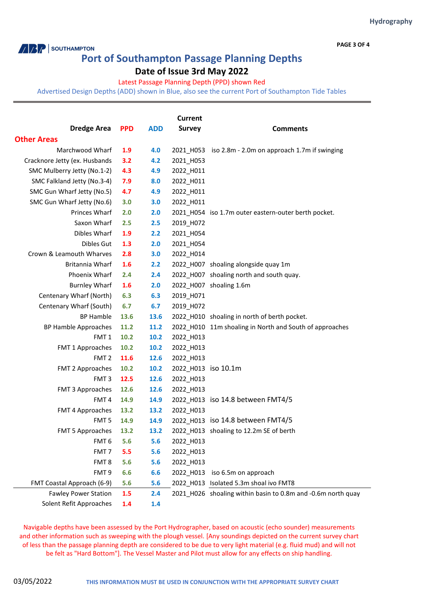**PAGE 3 OF 4**

### **Port of Southampton Passage Planning Depths**

### **Date of Issue 3rd May 2022**

#### Latest Passage Planning Depth (PPD) shown Red

Advertised Design Depths (ADD) shown in Blue, also see the current Port of Southampton Tide Tables

| <b>Current</b>                |            |            |                     |                                                              |  |  |
|-------------------------------|------------|------------|---------------------|--------------------------------------------------------------|--|--|
| <b>Dredge Area</b>            | <b>PPD</b> | <b>ADD</b> | <b>Survey</b>       | <b>Comments</b>                                              |  |  |
| <b>Other Areas</b>            |            |            |                     |                                                              |  |  |
| Marchwood Wharf               | 1.9        | 4.0        |                     | 2021_H053 iso 2.8m - 2.0m on approach 1.7m if swinging       |  |  |
| Cracknore Jetty (ex. Husbands | 3.2        | 4.2        | 2021 H053           |                                                              |  |  |
| SMC Mulberry Jetty (No.1-2)   | 4.3        | 4.9        | 2022_H011           |                                                              |  |  |
| SMC Falkland Jetty (No.3-4)   | 7.9        | 8.0        | 2022_H011           |                                                              |  |  |
| SMC Gun Wharf Jetty (No.5)    | 4.7        | 4.9        | 2022_H011           |                                                              |  |  |
| SMC Gun Wharf Jetty (No.6)    | 3.0        | 3.0        | 2022_H011           |                                                              |  |  |
| Princes Wharf                 | 2.0        | 2.0        |                     | 2021_H054 iso 1.7m outer eastern-outer berth pocket.         |  |  |
| Saxon Wharf                   | 2.5        | 2.5        | 2019_H072           |                                                              |  |  |
| Dibles Wharf                  | 1.9        | 2.2        | 2021_H054           |                                                              |  |  |
| Dibles Gut                    | 1.3        | 2.0        | 2021_H054           |                                                              |  |  |
| Crown & Leamouth Wharves      | 2.8        | 3.0        | 2022_H014           |                                                              |  |  |
| Britannia Wharf               | 1.6        | 2.2        |                     | 2022 H007 shoaling alongside quay 1m                         |  |  |
| Phoenix Wharf                 | 2.4        | 2.4        |                     | 2022_H007 shoaling north and south quay.                     |  |  |
| <b>Burnley Wharf</b>          | 1.6        | 2.0        |                     | 2022_H007 shoaling 1.6m                                      |  |  |
| Centenary Wharf (North)       | 6.3        | 6.3        | 2019_H071           |                                                              |  |  |
| Centenary Wharf (South)       | 6.7        | 6.7        | 2019_H072           |                                                              |  |  |
| <b>BP Hamble</b>              | 13.6       | 13.6       |                     | 2022_H010 shoaling in north of berth pocket.                 |  |  |
| <b>BP Hamble Approaches</b>   | 11.2       | 11.2       |                     | 2022_H010 11m shoaling in North and South of approaches      |  |  |
| FMT <sub>1</sub>              | 10.2       | 10.2       | 2022_H013           |                                                              |  |  |
| FMT 1 Approaches              | 10.2       | 10.2       | 2022_H013           |                                                              |  |  |
| FMT <sub>2</sub>              | 11.6       | 12.6       | 2022_H013           |                                                              |  |  |
| FMT 2 Approaches              | 10.2       | 10.2       | 2022_H013 iso 10.1m |                                                              |  |  |
| FMT <sub>3</sub>              | 12.5       | 12.6       | 2022_H013           |                                                              |  |  |
| FMT 3 Approaches              | 12.6       | 12.6       | 2022 H013           |                                                              |  |  |
| FMT <sub>4</sub>              | 14.9       | 14.9       |                     | 2022_H013 iso 14.8 between FMT4/5                            |  |  |
| FMT 4 Approaches              | 13.2       | 13.2       | 2022_H013           |                                                              |  |  |
| FMT <sub>5</sub>              | 14.9       | 14.9       |                     | 2022 H013 iso 14.8 between FMT4/5                            |  |  |
| <b>FMT 5 Approaches</b>       | 13.2       | 13.2       |                     | 2022 H013 shoaling to 12.2m SE of berth                      |  |  |
| FMT <sub>6</sub>              | 5.6        | 5.6        | 2022_H013           |                                                              |  |  |
| FMT <sub>7</sub>              | 5.5        | 5.6        | 2022_H013           |                                                              |  |  |
| FMT <sub>8</sub>              | 5.6        | 5.6        | 2022 H013           |                                                              |  |  |
| FMT <sub>9</sub>              | 6.6        | 6.6        | 2022_H013           | iso 6.5m on approach                                         |  |  |
| FMT Coastal Approach (6-9)    | 5.6        | 5.6        |                     | 2022 H013 Isolated 5.3m shoal ivo FMT8                       |  |  |
| <b>Fawley Power Station</b>   | 1.5        | 2.4        |                     | 2021_H026 shoaling within basin to 0.8m and -0.6m north quay |  |  |
| Solent Refit Approaches       | 1.4        | 1.4        |                     |                                                              |  |  |

Navigable depths have been assessed by the Port Hydrographer, based on acoustic (echo sounder) measurements and other information such as sweeping with the plough vessel. [Any soundings depicted on the current survey chart of less than the passage planning depth are considered to be due to very light material (e.g. fluid mud) and will not be felt as "Hard Bottom"]. The Vessel Master and Pilot must allow for any effects on ship handling.

**ARP** SOUTHAMPTON